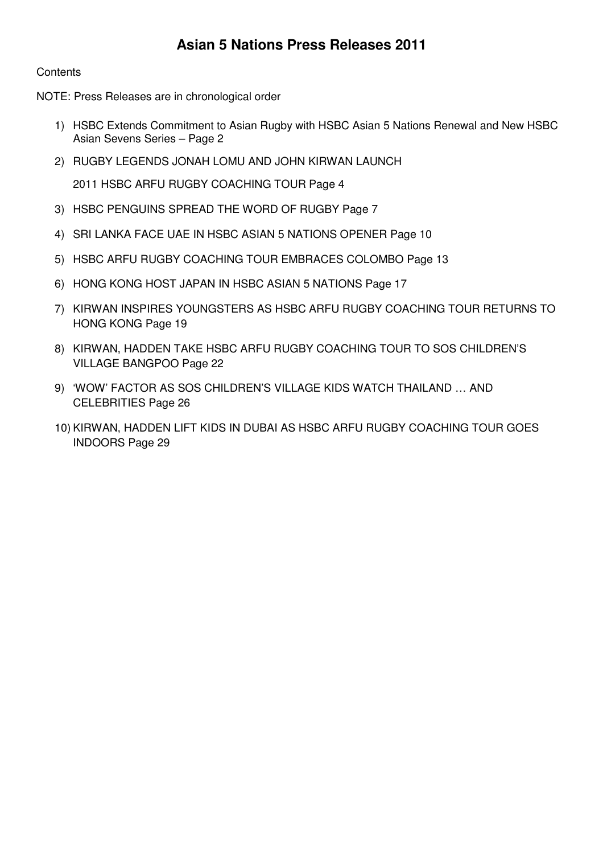## **Contents**

NOTE: Press Releases are in chronological order

- 1) HSBC Extends Commitment to Asian Rugby with HSBC Asian 5 Nations Renewal and New HSBC Asian Sevens Series – Page 2
- 2) RUGBY LEGENDS JONAH LOMU AND JOHN KIRWAN LAUNCH

2011 HSBC ARFU RUGBY COACHING TOUR Page 4

- 3) HSBC PENGUINS SPREAD THE WORD OF RUGBY Page 7
- 4) SRI LANKA FACE UAE IN HSBC ASIAN 5 NATIONS OPENER Page 10
- 5) HSBC ARFU RUGBY COACHING TOUR EMBRACES COLOMBO Page 13
- 6) HONG KONG HOST JAPAN IN HSBC ASIAN 5 NATIONS Page 17
- 7) KIRWAN INSPIRES YOUNGSTERS AS HSBC ARFU RUGBY COACHING TOUR RETURNS TO HONG KONG Page 19
- 8) KIRWAN, HADDEN TAKE HSBC ARFU RUGBY COACHING TOUR TO SOS CHILDREN'S VILLAGE BANGPOO Page 22
- 9) 'WOW' FACTOR AS SOS CHILDREN'S VILLAGE KIDS WATCH THAILAND … AND CELEBRITIES Page 26
- 10) KIRWAN, HADDEN LIFT KIDS IN DUBAI AS HSBC ARFU RUGBY COACHING TOUR GOES INDOORS Page 29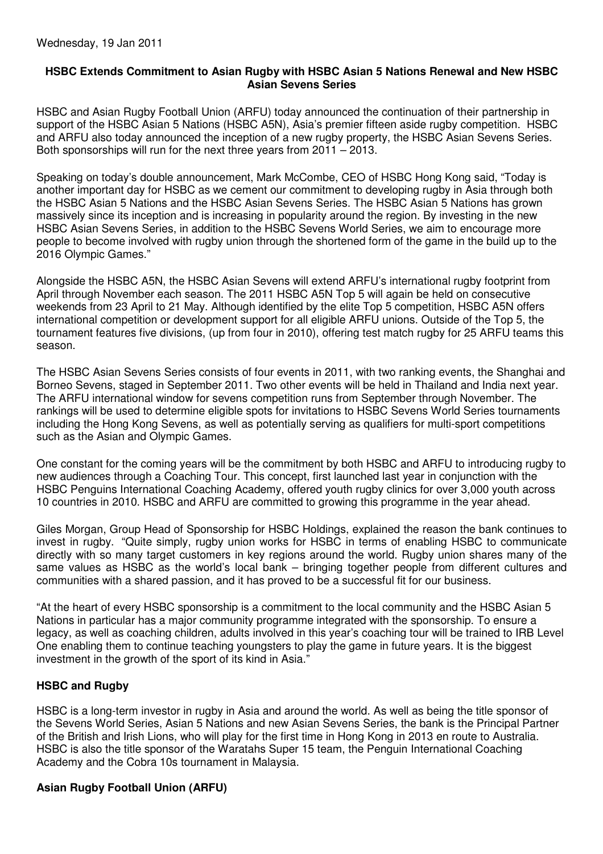#### **HSBC Extends Commitment to Asian Rugby with HSBC Asian 5 Nations Renewal and New HSBC Asian Sevens Series**

HSBC and Asian Rugby Football Union (ARFU) today announced the continuation of their partnership in support of the HSBC Asian 5 Nations (HSBC A5N), Asia's premier fifteen aside rugby competition. HSBC and ARFU also today announced the inception of a new rugby property, the HSBC Asian Sevens Series. Both sponsorships will run for the next three years from 2011 – 2013.

Speaking on today's double announcement, Mark McCombe, CEO of HSBC Hong Kong said, "Today is another important day for HSBC as we cement our commitment to developing rugby in Asia through both the HSBC Asian 5 Nations and the HSBC Asian Sevens Series. The HSBC Asian 5 Nations has grown massively since its inception and is increasing in popularity around the region. By investing in the new HSBC Asian Sevens Series, in addition to the HSBC Sevens World Series, we aim to encourage more people to become involved with rugby union through the shortened form of the game in the build up to the 2016 Olympic Games."

Alongside the HSBC A5N, the HSBC Asian Sevens will extend ARFU's international rugby footprint from April through November each season. The 2011 HSBC A5N Top 5 will again be held on consecutive weekends from 23 April to 21 May. Although identified by the elite Top 5 competition, HSBC A5N offers international competition or development support for all eligible ARFU unions. Outside of the Top 5, the tournament features five divisions, (up from four in 2010), offering test match rugby for 25 ARFU teams this season.

The HSBC Asian Sevens Series consists of four events in 2011, with two ranking events, the Shanghai and Borneo Sevens, staged in September 2011. Two other events will be held in Thailand and India next year. The ARFU international window for sevens competition runs from September through November. The rankings will be used to determine eligible spots for invitations to HSBC Sevens World Series tournaments including the Hong Kong Sevens, as well as potentially serving as qualifiers for multi-sport competitions such as the Asian and Olympic Games.

One constant for the coming years will be the commitment by both HSBC and ARFU to introducing rugby to new audiences through a Coaching Tour. This concept, first launched last year in conjunction with the HSBC Penguins International Coaching Academy, offered youth rugby clinics for over 3,000 youth across 10 countries in 2010. HSBC and ARFU are committed to growing this programme in the year ahead.

Giles Morgan, Group Head of Sponsorship for HSBC Holdings, explained the reason the bank continues to invest in rugby. "Quite simply, rugby union works for HSBC in terms of enabling HSBC to communicate directly with so many target customers in key regions around the world. Rugby union shares many of the same values as HSBC as the world's local bank – bringing together people from different cultures and communities with a shared passion, and it has proved to be a successful fit for our business.

"At the heart of every HSBC sponsorship is a commitment to the local community and the HSBC Asian 5 Nations in particular has a major community programme integrated with the sponsorship. To ensure a legacy, as well as coaching children, adults involved in this year's coaching tour will be trained to IRB Level One enabling them to continue teaching youngsters to play the game in future years. It is the biggest investment in the growth of the sport of its kind in Asia."

## **HSBC and Rugby**

HSBC is a long-term investor in rugby in Asia and around the world. As well as being the title sponsor of the Sevens World Series, Asian 5 Nations and new Asian Sevens Series, the bank is the Principal Partner of the British and Irish Lions, who will play for the first time in Hong Kong in 2013 en route to Australia. HSBC is also the title sponsor of the Waratahs Super 15 team, the Penguin International Coaching Academy and the Cobra 10s tournament in Malaysia.

## **Asian Rugby Football Union (ARFU)**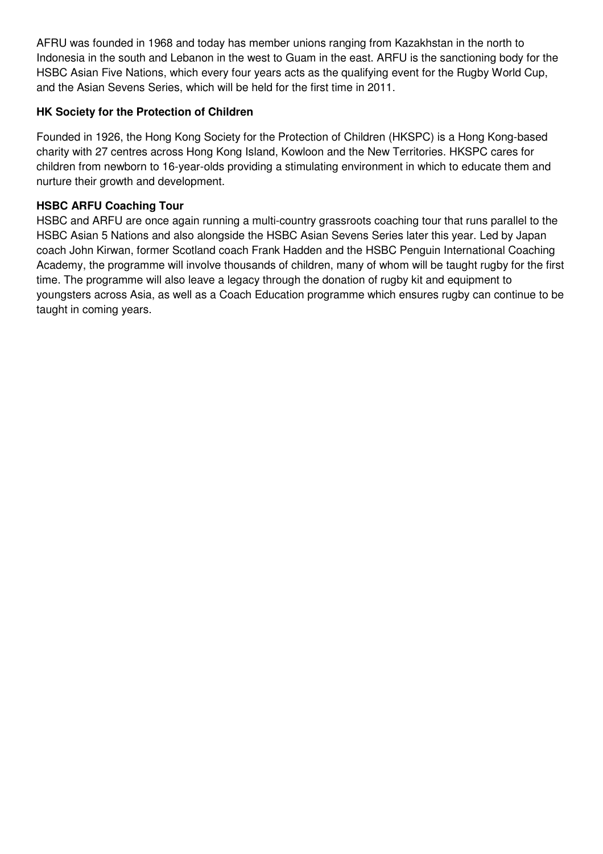AFRU was founded in 1968 and today has member unions ranging from Kazakhstan in the north to Indonesia in the south and Lebanon in the west to Guam in the east. ARFU is the sanctioning body for the HSBC Asian Five Nations, which every four years acts as the qualifying event for the Rugby World Cup, and the Asian Sevens Series, which will be held for the first time in 2011.

## **HK Society for the Protection of Children**

Founded in 1926, the Hong Kong Society for the Protection of Children (HKSPC) is a Hong Kong-based charity with 27 centres across Hong Kong Island, Kowloon and the New Territories. HKSPC cares for children from newborn to 16-year-olds providing a stimulating environment in which to educate them and nurture their growth and development.

## **HSBC ARFU Coaching Tour**

HSBC and ARFU are once again running a multi-country grassroots coaching tour that runs parallel to the HSBC Asian 5 Nations and also alongside the HSBC Asian Sevens Series later this year. Led by Japan coach John Kirwan, former Scotland coach Frank Hadden and the HSBC Penguin International Coaching Academy, the programme will involve thousands of children, many of whom will be taught rugby for the first time. The programme will also leave a legacy through the donation of rugby kit and equipment to youngsters across Asia, as well as a Coach Education programme which ensures rugby can continue to be taught in coming years.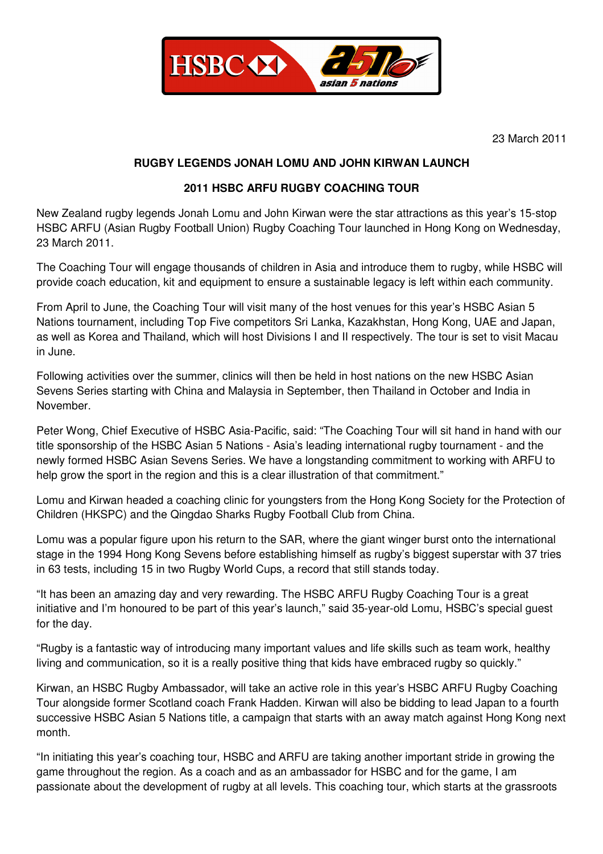

23 March 2011

#### **RUGBY LEGENDS JONAH LOMU AND JOHN KIRWAN LAUNCH**

#### **2011 HSBC ARFU RUGBY COACHING TOUR**

New Zealand rugby legends Jonah Lomu and John Kirwan were the star attractions as this year's 15-stop HSBC ARFU (Asian Rugby Football Union) Rugby Coaching Tour launched in Hong Kong on Wednesday, 23 March 2011.

The Coaching Tour will engage thousands of children in Asia and introduce them to rugby, while HSBC will provide coach education, kit and equipment to ensure a sustainable legacy is left within each community.

From April to June, the Coaching Tour will visit many of the host venues for this year's HSBC Asian 5 Nations tournament, including Top Five competitors Sri Lanka, Kazakhstan, Hong Kong, UAE and Japan, as well as Korea and Thailand, which will host Divisions I and II respectively. The tour is set to visit Macau in June.

Following activities over the summer, clinics will then be held in host nations on the new HSBC Asian Sevens Series starting with China and Malaysia in September, then Thailand in October and India in November.

Peter Wong, Chief Executive of HSBC Asia-Pacific, said: "The Coaching Tour will sit hand in hand with our title sponsorship of the HSBC Asian 5 Nations - Asia's leading international rugby tournament - and the newly formed HSBC Asian Sevens Series. We have a longstanding commitment to working with ARFU to help grow the sport in the region and this is a clear illustration of that commitment."

Lomu and Kirwan headed a coaching clinic for youngsters from the Hong Kong Society for the Protection of Children (HKSPC) and the Qingdao Sharks Rugby Football Club from China.

Lomu was a popular figure upon his return to the SAR, where the giant winger burst onto the international stage in the 1994 Hong Kong Sevens before establishing himself as rugby's biggest superstar with 37 tries in 63 tests, including 15 in two Rugby World Cups, a record that still stands today.

"It has been an amazing day and very rewarding. The HSBC ARFU Rugby Coaching Tour is a great initiative and I'm honoured to be part of this year's launch," said 35-year-old Lomu, HSBC's special guest for the day.

"Rugby is a fantastic way of introducing many important values and life skills such as team work, healthy living and communication, so it is a really positive thing that kids have embraced rugby so quickly."

Kirwan, an HSBC Rugby Ambassador, will take an active role in this year's HSBC ARFU Rugby Coaching Tour alongside former Scotland coach Frank Hadden. Kirwan will also be bidding to lead Japan to a fourth successive HSBC Asian 5 Nations title, a campaign that starts with an away match against Hong Kong next month.

"In initiating this year's coaching tour, HSBC and ARFU are taking another important stride in growing the game throughout the region. As a coach and as an ambassador for HSBC and for the game, I am passionate about the development of rugby at all levels. This coaching tour, which starts at the grassroots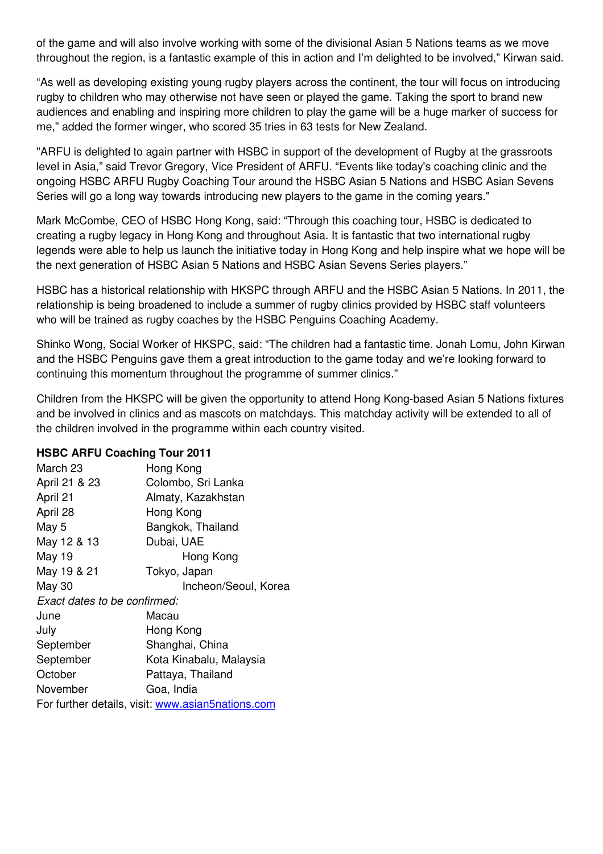of the game and will also involve working with some of the divisional Asian 5 Nations teams as we move throughout the region, is a fantastic example of this in action and I'm delighted to be involved," Kirwan said.

"As well as developing existing young rugby players across the continent, the tour will focus on introducing rugby to children who may otherwise not have seen or played the game. Taking the sport to brand new audiences and enabling and inspiring more children to play the game will be a huge marker of success for me," added the former winger, who scored 35 tries in 63 tests for New Zealand.

"ARFU is delighted to again partner with HSBC in support of the development of Rugby at the grassroots level in Asia," said Trevor Gregory, Vice President of ARFU. "Events like today's coaching clinic and the ongoing HSBC ARFU Rugby Coaching Tour around the HSBC Asian 5 Nations and HSBC Asian Sevens Series will go a long way towards introducing new players to the game in the coming years."

Mark McCombe, CEO of HSBC Hong Kong, said: "Through this coaching tour, HSBC is dedicated to creating a rugby legacy in Hong Kong and throughout Asia. It is fantastic that two international rugby legends were able to help us launch the initiative today in Hong Kong and help inspire what we hope will be the next generation of HSBC Asian 5 Nations and HSBC Asian Sevens Series players."

HSBC has a historical relationship with HKSPC through ARFU and the HSBC Asian 5 Nations. In 2011, the relationship is being broadened to include a summer of rugby clinics provided by HSBC staff volunteers who will be trained as rugby coaches by the HSBC Penguins Coaching Academy.

Shinko Wong, Social Worker of HKSPC, said: "The children had a fantastic time. Jonah Lomu, John Kirwan and the HSBC Penguins gave them a great introduction to the game today and we're looking forward to continuing this momentum throughout the programme of summer clinics."

Children from the HKSPC will be given the opportunity to attend Hong Kong-based Asian 5 Nations fixtures and be involved in clinics and as mascots on matchdays. This matchday activity will be extended to all of the children involved in the programme within each country visited.

## **HSBC ARFU Coaching Tour 2011**

| March 23                                          | Hong Kong               |  |
|---------------------------------------------------|-------------------------|--|
| April 21 & 23                                     | Colombo, Sri Lanka      |  |
|                                                   |                         |  |
| April 21                                          | Almaty, Kazakhstan      |  |
| April 28                                          | Hong Kong               |  |
| May 5                                             | Bangkok, Thailand       |  |
| May 12 & 13                                       | Dubai, UAE              |  |
| May 19                                            | Hong Kong               |  |
| May 19 & 21                                       | Tokyo, Japan            |  |
| May 30                                            | Incheon/Seoul, Korea    |  |
| Exact dates to be confirmed:                      |                         |  |
| June                                              | Macau                   |  |
| July                                              | Hong Kong               |  |
| September                                         | Shanghai, China         |  |
| September                                         | Kota Kinabalu, Malaysia |  |
| October                                           | Pattaya, Thailand       |  |
| November                                          | Goa, India              |  |
| For further details, visit: www.asian5nations.com |                         |  |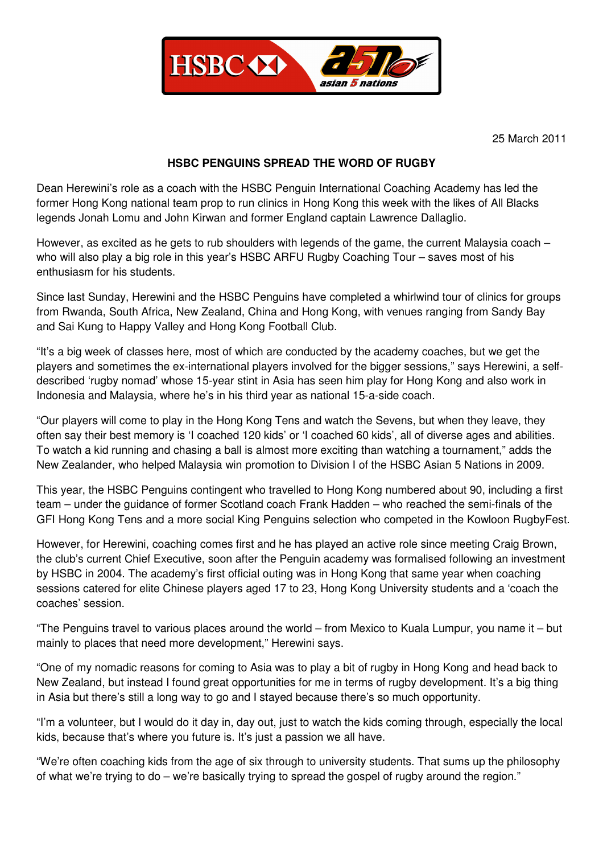

25 March 2011

## **HSBC PENGUINS SPREAD THE WORD OF RUGBY**

Dean Herewini's role as a coach with the HSBC Penguin International Coaching Academy has led the former Hong Kong national team prop to run clinics in Hong Kong this week with the likes of All Blacks legends Jonah Lomu and John Kirwan and former England captain Lawrence Dallaglio.

However, as excited as he gets to rub shoulders with legends of the game, the current Malaysia coach – who will also play a big role in this year's HSBC ARFU Rugby Coaching Tour – saves most of his enthusiasm for his students.

Since last Sunday, Herewini and the HSBC Penguins have completed a whirlwind tour of clinics for groups from Rwanda, South Africa, New Zealand, China and Hong Kong, with venues ranging from Sandy Bay and Sai Kung to Happy Valley and Hong Kong Football Club.

"It's a big week of classes here, most of which are conducted by the academy coaches, but we get the players and sometimes the ex-international players involved for the bigger sessions," says Herewini, a selfdescribed 'rugby nomad' whose 15-year stint in Asia has seen him play for Hong Kong and also work in Indonesia and Malaysia, where he's in his third year as national 15-a-side coach.

"Our players will come to play in the Hong Kong Tens and watch the Sevens, but when they leave, they often say their best memory is 'I coached 120 kids' or 'I coached 60 kids', all of diverse ages and abilities. To watch a kid running and chasing a ball is almost more exciting than watching a tournament," adds the New Zealander, who helped Malaysia win promotion to Division I of the HSBC Asian 5 Nations in 2009.

This year, the HSBC Penguins contingent who travelled to Hong Kong numbered about 90, including a first team – under the guidance of former Scotland coach Frank Hadden – who reached the semi-finals of the GFI Hong Kong Tens and a more social King Penguins selection who competed in the Kowloon RugbyFest.

However, for Herewini, coaching comes first and he has played an active role since meeting Craig Brown, the club's current Chief Executive, soon after the Penguin academy was formalised following an investment by HSBC in 2004. The academy's first official outing was in Hong Kong that same year when coaching sessions catered for elite Chinese players aged 17 to 23, Hong Kong University students and a 'coach the coaches' session.

"The Penguins travel to various places around the world – from Mexico to Kuala Lumpur, you name it – but mainly to places that need more development," Herewini says.

"One of my nomadic reasons for coming to Asia was to play a bit of rugby in Hong Kong and head back to New Zealand, but instead I found great opportunities for me in terms of rugby development. It's a big thing in Asia but there's still a long way to go and I stayed because there's so much opportunity.

"I'm a volunteer, but I would do it day in, day out, just to watch the kids coming through, especially the local kids, because that's where you future is. It's just a passion we all have.

"We're often coaching kids from the age of six through to university students. That sums up the philosophy of what we're trying to do – we're basically trying to spread the gospel of rugby around the region."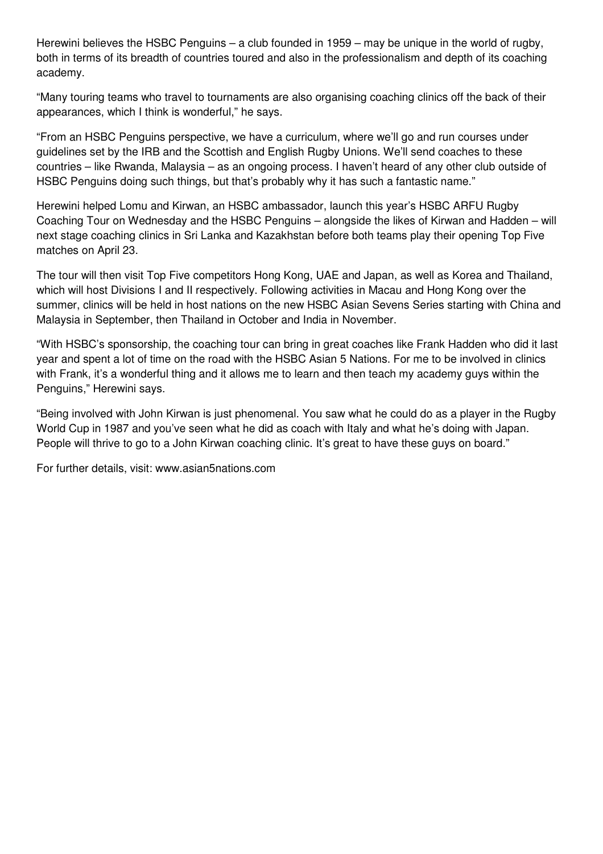Herewini believes the HSBC Penguins – a club founded in 1959 – may be unique in the world of rugby, both in terms of its breadth of countries toured and also in the professionalism and depth of its coaching academy.

"Many touring teams who travel to tournaments are also organising coaching clinics off the back of their appearances, which I think is wonderful," he says.

"From an HSBC Penguins perspective, we have a curriculum, where we'll go and run courses under guidelines set by the IRB and the Scottish and English Rugby Unions. We'll send coaches to these countries – like Rwanda, Malaysia – as an ongoing process. I haven't heard of any other club outside of HSBC Penguins doing such things, but that's probably why it has such a fantastic name."

Herewini helped Lomu and Kirwan, an HSBC ambassador, launch this year's HSBC ARFU Rugby Coaching Tour on Wednesday and the HSBC Penguins – alongside the likes of Kirwan and Hadden – will next stage coaching clinics in Sri Lanka and Kazakhstan before both teams play their opening Top Five matches on April 23.

The tour will then visit Top Five competitors Hong Kong, UAE and Japan, as well as Korea and Thailand, which will host Divisions I and II respectively. Following activities in Macau and Hong Kong over the summer, clinics will be held in host nations on the new HSBC Asian Sevens Series starting with China and Malaysia in September, then Thailand in October and India in November.

"With HSBC's sponsorship, the coaching tour can bring in great coaches like Frank Hadden who did it last year and spent a lot of time on the road with the HSBC Asian 5 Nations. For me to be involved in clinics with Frank, it's a wonderful thing and it allows me to learn and then teach my academy guys within the Penguins," Herewini says.

"Being involved with John Kirwan is just phenomenal. You saw what he could do as a player in the Rugby World Cup in 1987 and you've seen what he did as coach with Italy and what he's doing with Japan. People will thrive to go to a John Kirwan coaching clinic. It's great to have these guys on board."

For further details, visit: www.asian5nations.com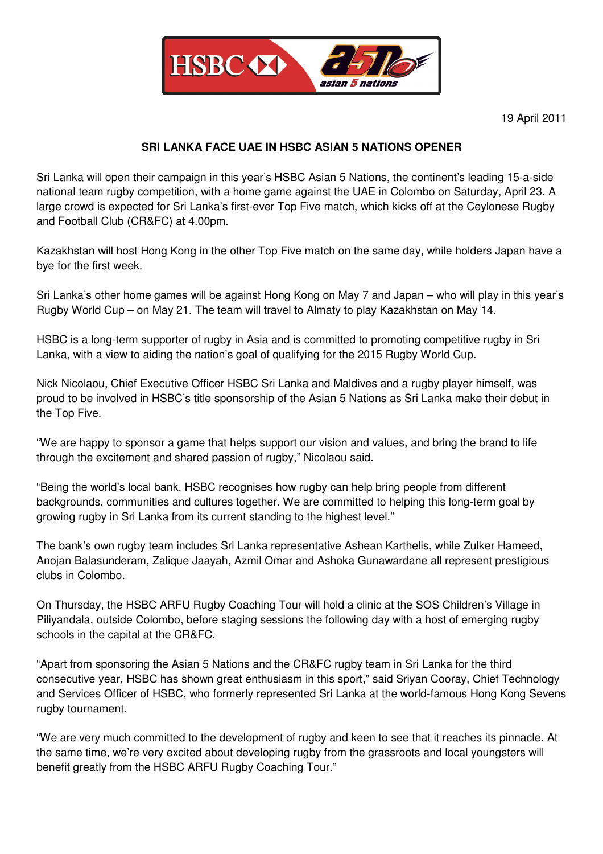

# **SRI LANKA FACE UAE IN HSBC ASIAN 5 NATIONS OPENER**

Sri Lanka will open their campaign in this year's HSBC Asian 5 Nations, the continent's leading 15-a-side national team rugby competition, with a home game against the UAE in Colombo on Saturday, April 23. A large crowd is expected for Sri Lanka's first-ever Top Five match, which kicks off at the Ceylonese Rugby and Football Club (CR&FC) at 4.00pm.

Kazakhstan will host Hong Kong in the other Top Five match on the same day, while holders Japan have a bye for the first week.

Sri Lanka's other home games will be against Hong Kong on May 7 and Japan – who will play in this year's Rugby World Cup – on May 21. The team will travel to Almaty to play Kazakhstan on May 14.

HSBC is a long-term supporter of rugby in Asia and is committed to promoting competitive rugby in Sri Lanka, with a view to aiding the nation's goal of qualifying for the 2015 Rugby World Cup.

Nick Nicolaou, Chief Executive Officer HSBC Sri Lanka and Maldives and a rugby player himself, was proud to be involved in HSBC's title sponsorship of the Asian 5 Nations as Sri Lanka make their debut in the Top Five.

"We are happy to sponsor a game that helps support our vision and values, and bring the brand to life through the excitement and shared passion of rugby," Nicolaou said.

"Being the world's local bank, HSBC recognises how rugby can help bring people from different backgrounds, communities and cultures together. We are committed to helping this long-term goal by growing rugby in Sri Lanka from its current standing to the highest level."

The bank's own rugby team includes Sri Lanka representative Ashean Karthelis, while Zulker Hameed, Anojan Balasunderam, Zalique Jaayah, Azmil Omar and Ashoka Gunawardane all represent prestigious clubs in Colombo.

On Thursday, the HSBC ARFU Rugby Coaching Tour will hold a clinic at the SOS Children's Village in Piliyandala, outside Colombo, before staging sessions the following day with a host of emerging rugby schools in the capital at the CR&FC.

"Apart from sponsoring the Asian 5 Nations and the CR&FC rugby team in Sri Lanka for the third consecutive year, HSBC has shown great enthusiasm in this sport," said Sriyan Cooray, Chief Technology and Services Officer of HSBC, who formerly represented Sri Lanka at the world-famous Hong Kong Sevens rugby tournament.

"We are very much committed to the development of rugby and keen to see that it reaches its pinnacle. At the same time, we're very excited about developing rugby from the grassroots and local youngsters will benefit greatly from the HSBC ARFU Rugby Coaching Tour."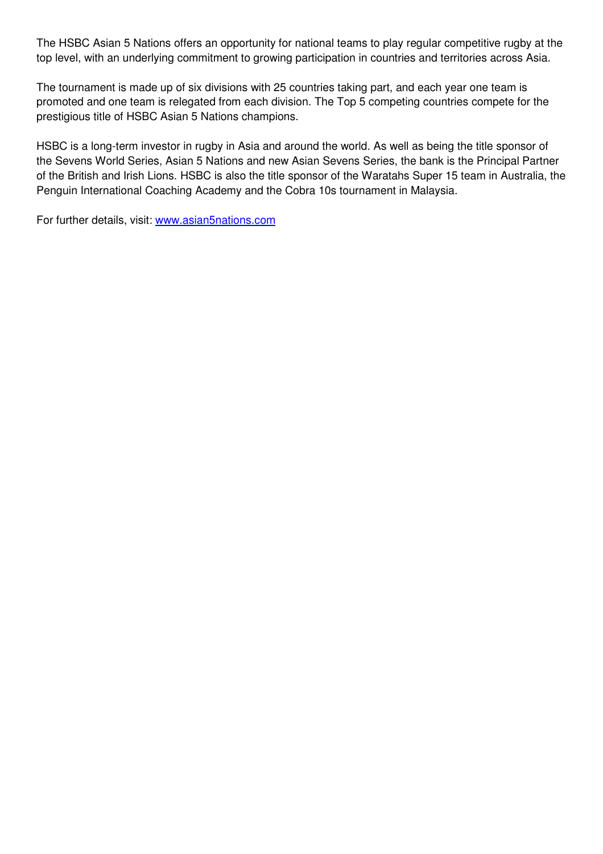The HSBC Asian 5 Nations offers an opportunity for national teams to play regular competitive rugby at the top level, with an underlying commitment to growing participation in countries and territories across Asia.

The tournament is made up of six divisions with 25 countries taking part, and each year one team is promoted and one team is relegated from each division. The Top 5 competing countries compete for the prestigious title of HSBC Asian 5 Nations champions.

HSBC is a long-term investor in rugby in Asia and around the world. As well as being the title sponsor of the Sevens World Series, Asian 5 Nations and new Asian Sevens Series, the bank is the Principal Partner of the British and Irish Lions. HSBC is also the title sponsor of the Waratahs Super 15 team in Australia, the Penguin International Coaching Academy and the Cobra 10s tournament in Malaysia.

For further details, visit: www.asian5nations.com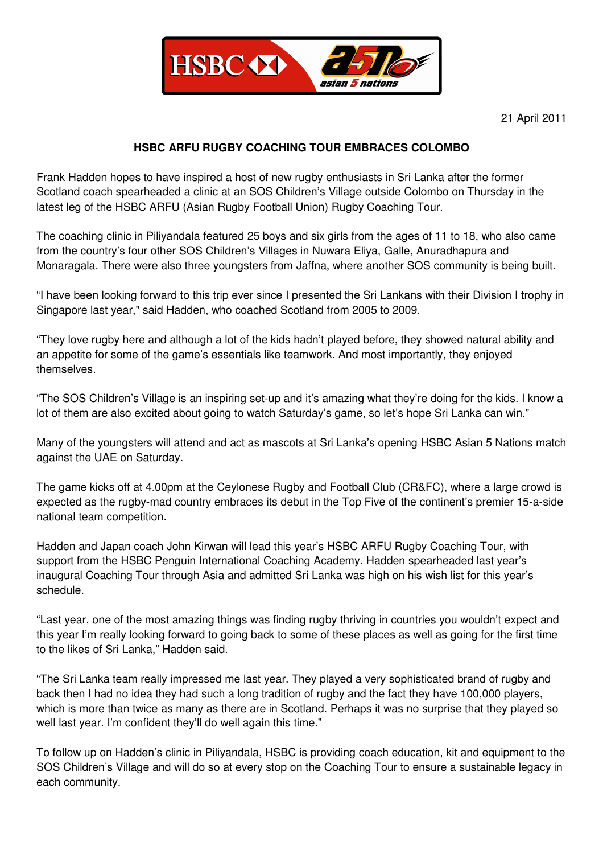

# **HSBC ARFU RUGBY COACHING TOUR EMBRACES COLOMBO**

Frank Hadden hopes to have inspired a host of new rugby enthusiasts in Sri Lanka after the former Scotland coach spearheaded a clinic at an SOS Children's Village outside Colombo on Thursday in the latest leg of the HSBC ARFU (Asian Rugby Football Union) Rugby Coaching Tour.

The coaching clinic in Piliyandala featured 25 boys and six girls from the ages of 11 to 18, who also came from the country's four other SOS Children's Villages in Nuwara Eliya, Galle, Anuradhapura and Monaragala. There were also three youngsters from Jaffna, where another SOS community is being built.

"I have been looking forward to this trip ever since I presented the Sri Lankans with their Division I trophy in Singapore last year," said Hadden, who coached Scotland from 2005 to 2009.

"They love rugby here and although a lot of the kids hadn't played before, they showed natural ability and an appetite for some of the game's essentials like teamwork. And most importantly, they enjoyed themselves.

"The SOS Children's Village is an inspiring set-up and it's amazing what they're doing for the kids. I know a lot of them are also excited about going to watch Saturday's game, so let's hope Sri Lanka can win."

Many of the youngsters will attend and act as mascots at Sri Lanka's opening HSBC Asian 5 Nations match against the UAE on Saturday.

The game kicks off at 4.00pm at the Ceylonese Rugby and Football Club (CR&FC), where a large crowd is expected as the rugby-mad country embraces its debut in the Top Five of the continent's premier 15-a-side national team competition.

Hadden and Japan coach John Kirwan will lead this year's HSBC ARFU Rugby Coaching Tour, with support from the HSBC Penguin International Coaching Academy. Hadden spearheaded last year's inaugural Coaching Tour through Asia and admitted Sri Lanka was high on his wish list for this year's schedule.

"Last year, one of the most amazing things was finding rugby thriving in countries you wouldn't expect and this year I'm really looking forward to going back to some of these places as well as going for the first time to the likes of Sri Lanka," Hadden said.

"The Sri Lanka team really impressed me last year. They played a very sophisticated brand of rugby and back then I had no idea they had such a long tradition of rugby and the fact they have 100,000 players, which is more than twice as many as there are in Scotland. Perhaps it was no surprise that they played so well last year. I'm confident they'll do well again this time."

To follow up on Hadden's clinic in Piliyandala, HSBC is providing coach education, kit and equipment to the SOS Children's Village and will do so at every stop on the Coaching Tour to ensure a sustainable legacy in each community.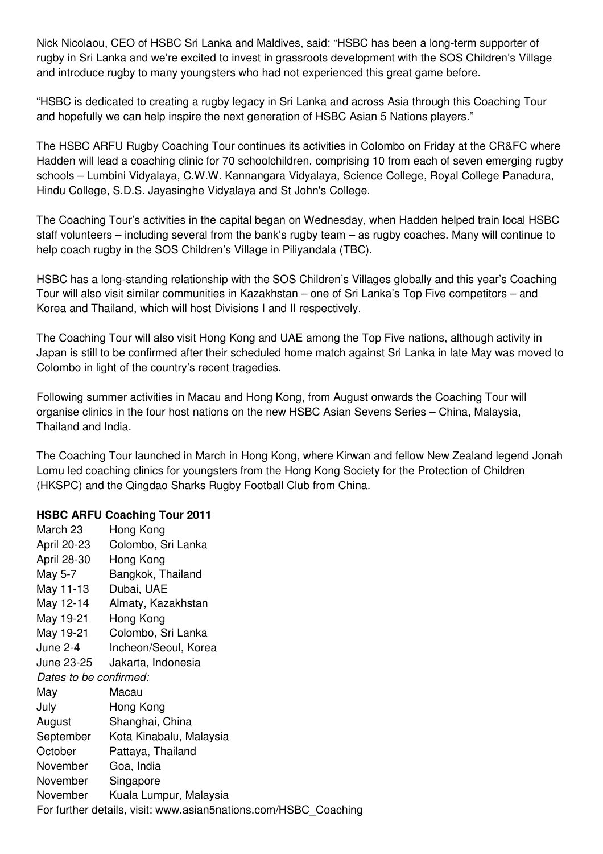Nick Nicolaou, CEO of HSBC Sri Lanka and Maldives, said: "HSBC has been a long-term supporter of rugby in Sri Lanka and we're excited to invest in grassroots development with the SOS Children's Village and introduce rugby to many youngsters who had not experienced this great game before.

"HSBC is dedicated to creating a rugby legacy in Sri Lanka and across Asia through this Coaching Tour and hopefully we can help inspire the next generation of HSBC Asian 5 Nations players."

The HSBC ARFU Rugby Coaching Tour continues its activities in Colombo on Friday at the CR&FC where Hadden will lead a coaching clinic for 70 schoolchildren, comprising 10 from each of seven emerging rugby schools – Lumbini Vidyalaya, C.W.W. Kannangara Vidyalaya, Science College, Royal College Panadura, Hindu College, S.D.S. Jayasinghe Vidyalaya and St John's College.

The Coaching Tour's activities in the capital began on Wednesday, when Hadden helped train local HSBC staff volunteers – including several from the bank's rugby team – as rugby coaches. Many will continue to help coach rugby in the SOS Children's Village in Piliyandala (TBC).

HSBC has a long-standing relationship with the SOS Children's Villages globally and this year's Coaching Tour will also visit similar communities in Kazakhstan – one of Sri Lanka's Top Five competitors – and Korea and Thailand, which will host Divisions I and II respectively.

The Coaching Tour will also visit Hong Kong and UAE among the Top Five nations, although activity in Japan is still to be confirmed after their scheduled home match against Sri Lanka in late May was moved to Colombo in light of the country's recent tragedies.

Following summer activities in Macau and Hong Kong, from August onwards the Coaching Tour will organise clinics in the four host nations on the new HSBC Asian Sevens Series – China, Malaysia, Thailand and India.

The Coaching Tour launched in March in Hong Kong, where Kirwan and fellow New Zealand legend Jonah Lomu led coaching clinics for youngsters from the Hong Kong Society for the Protection of Children (HKSPC) and the Qingdao Sharks Rugby Football Club from China.

# **HSBC ARFU Coaching Tour 2011**

| March 23                                                        | Hong Kong                         |  |
|-----------------------------------------------------------------|-----------------------------------|--|
| April 20-23                                                     | Colombo, Sri Lanka                |  |
| April 28-30                                                     | Hong Kong                         |  |
| May 5-7                                                         | Bangkok, Thailand                 |  |
| May 11-13                                                       | Dubai, UAE                        |  |
| May 12-14                                                       | Almaty, Kazakhstan                |  |
| May 19-21                                                       | Hong Kong                         |  |
| May 19-21                                                       | Colombo, Sri Lanka                |  |
| June 2-4                                                        | Incheon/Seoul, Korea              |  |
| June 23-25                                                      | Jakarta, Indonesia                |  |
| Dates to be confirmed:                                          |                                   |  |
| May                                                             | Macau                             |  |
| July                                                            | Hong Kong                         |  |
| August                                                          | Shanghai, China                   |  |
|                                                                 | September Kota Kinabalu, Malaysia |  |
| October                                                         | Pattaya, Thailand                 |  |
| November                                                        | Goa, India                        |  |
| November                                                        | Singapore                         |  |
| November                                                        | Kuala Lumpur, Malaysia            |  |
| For further details, visit: www.asian5nations.com/HSBC_Coaching |                                   |  |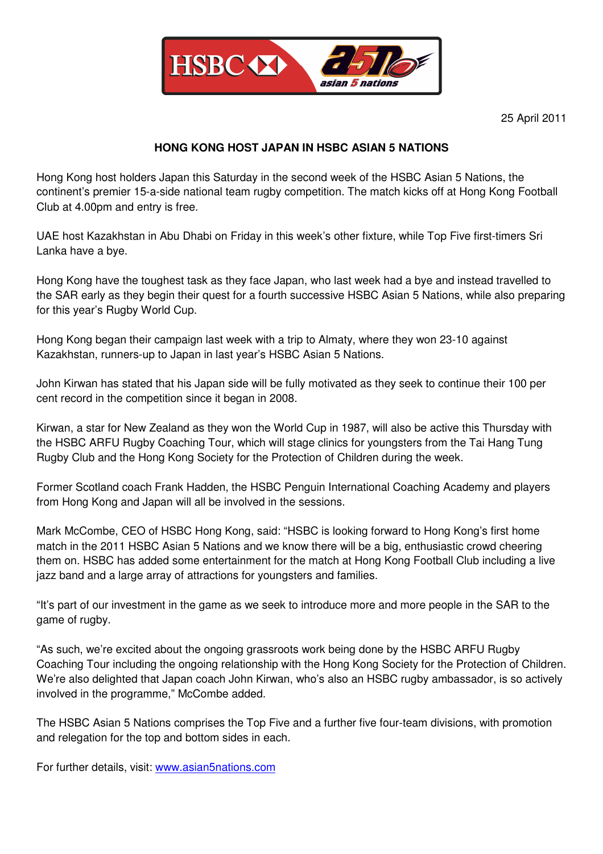

## **HONG KONG HOST JAPAN IN HSBC ASIAN 5 NATIONS**

Hong Kong host holders Japan this Saturday in the second week of the HSBC Asian 5 Nations, the continent's premier 15-a-side national team rugby competition. The match kicks off at Hong Kong Football Club at 4.00pm and entry is free.

UAE host Kazakhstan in Abu Dhabi on Friday in this week's other fixture, while Top Five first-timers Sri Lanka have a bye.

Hong Kong have the toughest task as they face Japan, who last week had a bye and instead travelled to the SAR early as they begin their quest for a fourth successive HSBC Asian 5 Nations, while also preparing for this year's Rugby World Cup.

Hong Kong began their campaign last week with a trip to Almaty, where they won 23-10 against Kazakhstan, runners-up to Japan in last year's HSBC Asian 5 Nations.

John Kirwan has stated that his Japan side will be fully motivated as they seek to continue their 100 per cent record in the competition since it began in 2008.

Kirwan, a star for New Zealand as they won the World Cup in 1987, will also be active this Thursday with the HSBC ARFU Rugby Coaching Tour, which will stage clinics for youngsters from the Tai Hang Tung Rugby Club and the Hong Kong Society for the Protection of Children during the week.

Former Scotland coach Frank Hadden, the HSBC Penguin International Coaching Academy and players from Hong Kong and Japan will all be involved in the sessions.

Mark McCombe, CEO of HSBC Hong Kong, said: "HSBC is looking forward to Hong Kong's first home match in the 2011 HSBC Asian 5 Nations and we know there will be a big, enthusiastic crowd cheering them on. HSBC has added some entertainment for the match at Hong Kong Football Club including a live jazz band and a large array of attractions for youngsters and families.

"It's part of our investment in the game as we seek to introduce more and more people in the SAR to the game of rugby.

"As such, we're excited about the ongoing grassroots work being done by the HSBC ARFU Rugby Coaching Tour including the ongoing relationship with the Hong Kong Society for the Protection of Children. We're also delighted that Japan coach John Kirwan, who's also an HSBC rugby ambassador, is so actively involved in the programme," McCombe added.

The HSBC Asian 5 Nations comprises the Top Five and a further five four-team divisions, with promotion and relegation for the top and bottom sides in each.

For further details, visit: www.asian5nations.com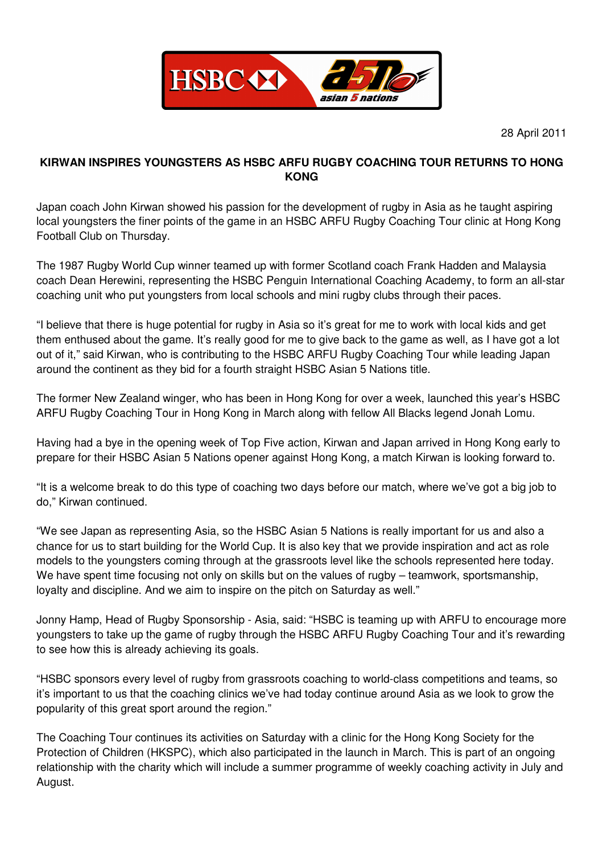

# **KIRWAN INSPIRES YOUNGSTERS AS HSBC ARFU RUGBY COACHING TOUR RETURNS TO HONG KONG**

Japan coach John Kirwan showed his passion for the development of rugby in Asia as he taught aspiring local youngsters the finer points of the game in an HSBC ARFU Rugby Coaching Tour clinic at Hong Kong Football Club on Thursday.

The 1987 Rugby World Cup winner teamed up with former Scotland coach Frank Hadden and Malaysia coach Dean Herewini, representing the HSBC Penguin International Coaching Academy, to form an all-star coaching unit who put youngsters from local schools and mini rugby clubs through their paces.

"I believe that there is huge potential for rugby in Asia so it's great for me to work with local kids and get them enthused about the game. It's really good for me to give back to the game as well, as I have got a lot out of it," said Kirwan, who is contributing to the HSBC ARFU Rugby Coaching Tour while leading Japan around the continent as they bid for a fourth straight HSBC Asian 5 Nations title.

The former New Zealand winger, who has been in Hong Kong for over a week, launched this year's HSBC ARFU Rugby Coaching Tour in Hong Kong in March along with fellow All Blacks legend Jonah Lomu.

Having had a bye in the opening week of Top Five action, Kirwan and Japan arrived in Hong Kong early to prepare for their HSBC Asian 5 Nations opener against Hong Kong, a match Kirwan is looking forward to.

"It is a welcome break to do this type of coaching two days before our match, where we've got a big job to do," Kirwan continued.

"We see Japan as representing Asia, so the HSBC Asian 5 Nations is really important for us and also a chance for us to start building for the World Cup. It is also key that we provide inspiration and act as role models to the youngsters coming through at the grassroots level like the schools represented here today. We have spent time focusing not only on skills but on the values of rugby – teamwork, sportsmanship, loyalty and discipline. And we aim to inspire on the pitch on Saturday as well."

Jonny Hamp, Head of Rugby Sponsorship - Asia, said: "HSBC is teaming up with ARFU to encourage more youngsters to take up the game of rugby through the HSBC ARFU Rugby Coaching Tour and it's rewarding to see how this is already achieving its goals.

"HSBC sponsors every level of rugby from grassroots coaching to world-class competitions and teams, so it's important to us that the coaching clinics we've had today continue around Asia as we look to grow the popularity of this great sport around the region."

The Coaching Tour continues its activities on Saturday with a clinic for the Hong Kong Society for the Protection of Children (HKSPC), which also participated in the launch in March. This is part of an ongoing relationship with the charity which will include a summer programme of weekly coaching activity in July and August.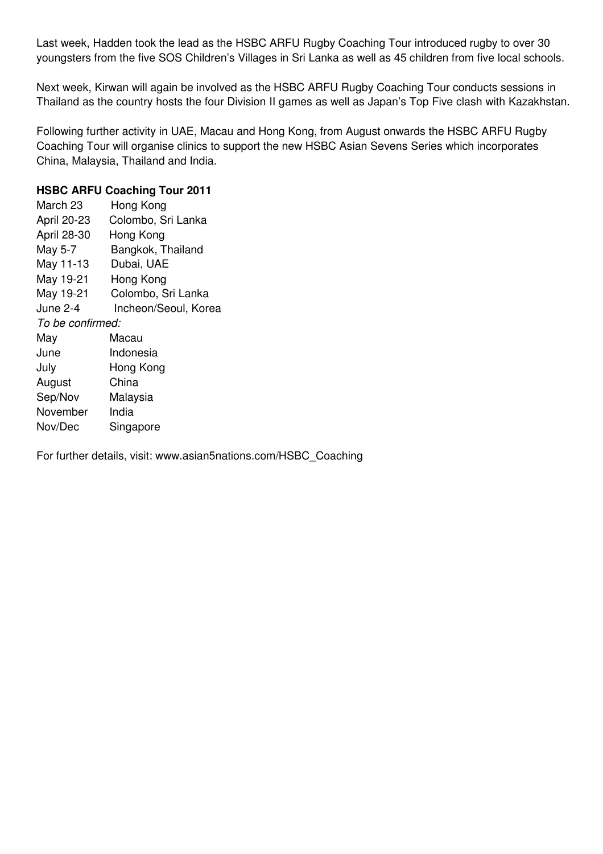Last week, Hadden took the lead as the HSBC ARFU Rugby Coaching Tour introduced rugby to over 30 youngsters from the five SOS Children's Villages in Sri Lanka as well as 45 children from five local schools.

Next week, Kirwan will again be involved as the HSBC ARFU Rugby Coaching Tour conducts sessions in Thailand as the country hosts the four Division II games as well as Japan's Top Five clash with Kazakhstan.

Following further activity in UAE, Macau and Hong Kong, from August onwards the HSBC ARFU Rugby Coaching Tour will organise clinics to support the new HSBC Asian Sevens Series which incorporates China, Malaysia, Thailand and India.

## **HSBC ARFU Coaching Tour 2011**

| March 23         | Hong Kong            |  |
|------------------|----------------------|--|
| April 20-23      | Colombo, Sri Lanka   |  |
| April 28-30      | Hong Kong            |  |
| May 5-7          | Bangkok, Thailand    |  |
| May 11-13        | Dubai, UAE           |  |
| May 19-21        | Hong Kong            |  |
| May 19-21        | Colombo, Sri Lanka   |  |
| June 2-4         | Incheon/Seoul, Korea |  |
| To be confirmed: |                      |  |
| May              | Macau                |  |
| June             | Indonesia            |  |
| July             | Hong Kong            |  |
| August           | China                |  |
| Sep/Nov          | Malaysia             |  |
| November         | India                |  |
| Nov/Dec          | Singapore            |  |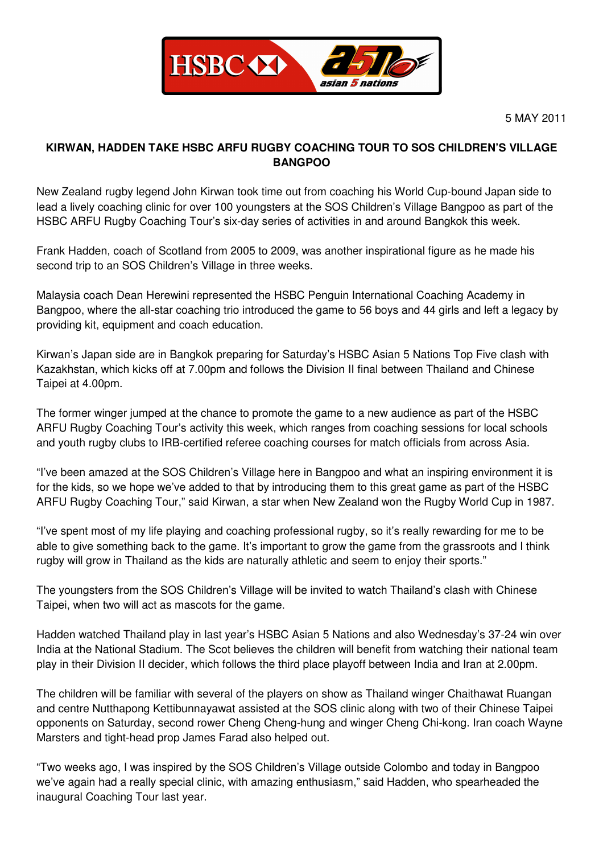

# **KIRWAN, HADDEN TAKE HSBC ARFU RUGBY COACHING TOUR TO SOS CHILDREN'S VILLAGE BANGPOO**

New Zealand rugby legend John Kirwan took time out from coaching his World Cup-bound Japan side to lead a lively coaching clinic for over 100 youngsters at the SOS Children's Village Bangpoo as part of the HSBC ARFU Rugby Coaching Tour's six-day series of activities in and around Bangkok this week.

Frank Hadden, coach of Scotland from 2005 to 2009, was another inspirational figure as he made his second trip to an SOS Children's Village in three weeks.

Malaysia coach Dean Herewini represented the HSBC Penguin International Coaching Academy in Bangpoo, where the all-star coaching trio introduced the game to 56 boys and 44 girls and left a legacy by providing kit, equipment and coach education.

Kirwan's Japan side are in Bangkok preparing for Saturday's HSBC Asian 5 Nations Top Five clash with Kazakhstan, which kicks off at 7.00pm and follows the Division II final between Thailand and Chinese Taipei at 4.00pm.

The former winger jumped at the chance to promote the game to a new audience as part of the HSBC ARFU Rugby Coaching Tour's activity this week, which ranges from coaching sessions for local schools and youth rugby clubs to IRB-certified referee coaching courses for match officials from across Asia.

"I've been amazed at the SOS Children's Village here in Bangpoo and what an inspiring environment it is for the kids, so we hope we've added to that by introducing them to this great game as part of the HSBC ARFU Rugby Coaching Tour," said Kirwan, a star when New Zealand won the Rugby World Cup in 1987.

"I've spent most of my life playing and coaching professional rugby, so it's really rewarding for me to be able to give something back to the game. It's important to grow the game from the grassroots and I think rugby will grow in Thailand as the kids are naturally athletic and seem to enjoy their sports."

The youngsters from the SOS Children's Village will be invited to watch Thailand's clash with Chinese Taipei, when two will act as mascots for the game.

Hadden watched Thailand play in last year's HSBC Asian 5 Nations and also Wednesday's 37-24 win over India at the National Stadium. The Scot believes the children will benefit from watching their national team play in their Division II decider, which follows the third place playoff between India and Iran at 2.00pm.

The children will be familiar with several of the players on show as Thailand winger Chaithawat Ruangan and centre Nutthapong Kettibunnayawat assisted at the SOS clinic along with two of their Chinese Taipei opponents on Saturday, second rower Cheng Cheng-hung and winger Cheng Chi-kong. Iran coach Wayne Marsters and tight-head prop James Farad also helped out.

"Two weeks ago, I was inspired by the SOS Children's Village outside Colombo and today in Bangpoo we've again had a really special clinic, with amazing enthusiasm," said Hadden, who spearheaded the inaugural Coaching Tour last year.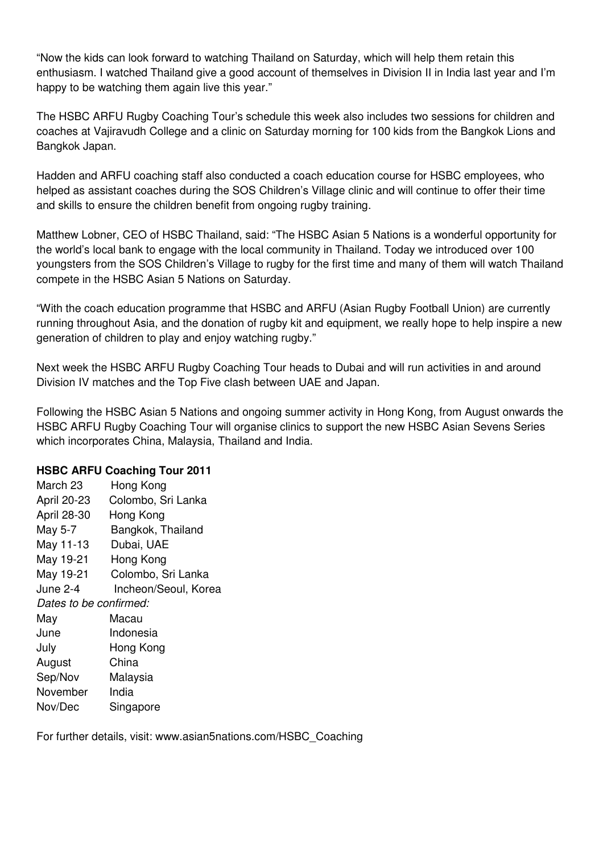"Now the kids can look forward to watching Thailand on Saturday, which will help them retain this enthusiasm. I watched Thailand give a good account of themselves in Division II in India last year and I'm happy to be watching them again live this year."

The HSBC ARFU Rugby Coaching Tour's schedule this week also includes two sessions for children and coaches at Vajiravudh College and a clinic on Saturday morning for 100 kids from the Bangkok Lions and Bangkok Japan.

Hadden and ARFU coaching staff also conducted a coach education course for HSBC employees, who helped as assistant coaches during the SOS Children's Village clinic and will continue to offer their time and skills to ensure the children benefit from ongoing rugby training.

Matthew Lobner, CEO of HSBC Thailand, said: "The HSBC Asian 5 Nations is a wonderful opportunity for the world's local bank to engage with the local community in Thailand. Today we introduced over 100 youngsters from the SOS Children's Village to rugby for the first time and many of them will watch Thailand compete in the HSBC Asian 5 Nations on Saturday.

"With the coach education programme that HSBC and ARFU (Asian Rugby Football Union) are currently running throughout Asia, and the donation of rugby kit and equipment, we really hope to help inspire a new generation of children to play and enjoy watching rugby."

Next week the HSBC ARFU Rugby Coaching Tour heads to Dubai and will run activities in and around Division IV matches and the Top Five clash between UAE and Japan.

Following the HSBC Asian 5 Nations and ongoing summer activity in Hong Kong, from August onwards the HSBC ARFU Rugby Coaching Tour will organise clinics to support the new HSBC Asian Sevens Series which incorporates China, Malaysia, Thailand and India.

## **HSBC ARFU Coaching Tour 2011**

| March 23               | Hong Kong            |  |
|------------------------|----------------------|--|
| April 20-23            | Colombo, Sri Lanka   |  |
| April 28-30            | Hong Kong            |  |
| May 5-7                | Bangkok, Thailand    |  |
| May 11-13              | Dubai, UAE           |  |
| May 19-21              | Hong Kong            |  |
| May 19-21              | Colombo, Sri Lanka   |  |
| June 2-4               | Incheon/Seoul, Korea |  |
| Dates to be confirmed: |                      |  |
| May                    | Macau                |  |
| June                   | Indonesia            |  |
| July                   | Hong Kong            |  |
| August                 | China                |  |
| Sep/Nov                | Malaysia             |  |
| November               | India                |  |
| Nov/Dec                | Singapore            |  |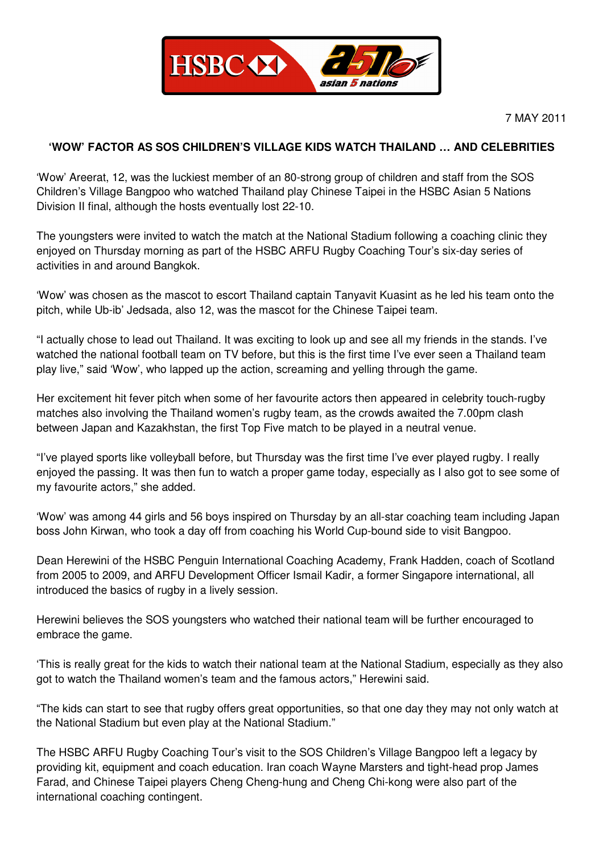

7 MAY 2011

## **'WOW' FACTOR AS SOS CHILDREN'S VILLAGE KIDS WATCH THAILAND … AND CELEBRITIES**

'Wow' Areerat, 12, was the luckiest member of an 80-strong group of children and staff from the SOS Children's Village Bangpoo who watched Thailand play Chinese Taipei in the HSBC Asian 5 Nations Division II final, although the hosts eventually lost 22-10.

The youngsters were invited to watch the match at the National Stadium following a coaching clinic they enjoyed on Thursday morning as part of the HSBC ARFU Rugby Coaching Tour's six-day series of activities in and around Bangkok.

'Wow' was chosen as the mascot to escort Thailand captain Tanyavit Kuasint as he led his team onto the pitch, while Ub-ib' Jedsada, also 12, was the mascot for the Chinese Taipei team.

"I actually chose to lead out Thailand. It was exciting to look up and see all my friends in the stands. I've watched the national football team on TV before, but this is the first time I've ever seen a Thailand team play live," said 'Wow', who lapped up the action, screaming and yelling through the game.

Her excitement hit fever pitch when some of her favourite actors then appeared in celebrity touch-rugby matches also involving the Thailand women's rugby team, as the crowds awaited the 7.00pm clash between Japan and Kazakhstan, the first Top Five match to be played in a neutral venue.

"I've played sports like volleyball before, but Thursday was the first time I've ever played rugby. I really enjoyed the passing. It was then fun to watch a proper game today, especially as I also got to see some of my favourite actors," she added.

'Wow' was among 44 girls and 56 boys inspired on Thursday by an all-star coaching team including Japan boss John Kirwan, who took a day off from coaching his World Cup-bound side to visit Bangpoo.

Dean Herewini of the HSBC Penguin International Coaching Academy, Frank Hadden, coach of Scotland from 2005 to 2009, and ARFU Development Officer Ismail Kadir, a former Singapore international, all introduced the basics of rugby in a lively session.

Herewini believes the SOS youngsters who watched their national team will be further encouraged to embrace the game.

'This is really great for the kids to watch their national team at the National Stadium, especially as they also got to watch the Thailand women's team and the famous actors," Herewini said.

"The kids can start to see that rugby offers great opportunities, so that one day they may not only watch at the National Stadium but even play at the National Stadium."

The HSBC ARFU Rugby Coaching Tour's visit to the SOS Children's Village Bangpoo left a legacy by providing kit, equipment and coach education. Iran coach Wayne Marsters and tight-head prop James Farad, and Chinese Taipei players Cheng Cheng-hung and Cheng Chi-kong were also part of the international coaching contingent.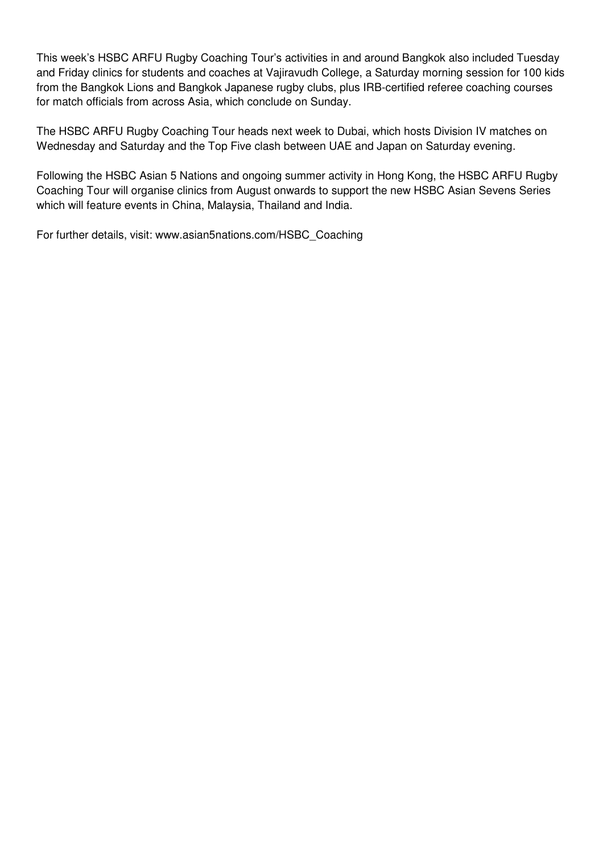This week's HSBC ARFU Rugby Coaching Tour's activities in and around Bangkok also included Tuesday and Friday clinics for students and coaches at Vajiravudh College, a Saturday morning session for 100 kids from the Bangkok Lions and Bangkok Japanese rugby clubs, plus IRB-certified referee coaching courses for match officials from across Asia, which conclude on Sunday.

The HSBC ARFU Rugby Coaching Tour heads next week to Dubai, which hosts Division IV matches on Wednesday and Saturday and the Top Five clash between UAE and Japan on Saturday evening.

Following the HSBC Asian 5 Nations and ongoing summer activity in Hong Kong, the HSBC ARFU Rugby Coaching Tour will organise clinics from August onwards to support the new HSBC Asian Sevens Series which will feature events in China, Malaysia, Thailand and India.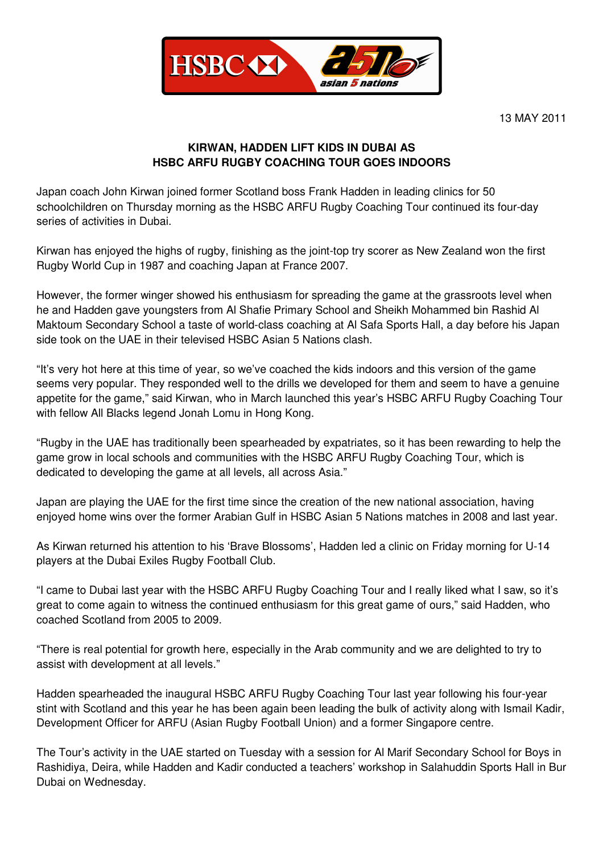

13 MAY 2011

# **KIRWAN, HADDEN LIFT KIDS IN DUBAI AS HSBC ARFU RUGBY COACHING TOUR GOES INDOORS**

Japan coach John Kirwan joined former Scotland boss Frank Hadden in leading clinics for 50 schoolchildren on Thursday morning as the HSBC ARFU Rugby Coaching Tour continued its four-day series of activities in Dubai.

Kirwan has enjoyed the highs of rugby, finishing as the joint-top try scorer as New Zealand won the first Rugby World Cup in 1987 and coaching Japan at France 2007.

However, the former winger showed his enthusiasm for spreading the game at the grassroots level when he and Hadden gave youngsters from Al Shafie Primary School and Sheikh Mohammed bin Rashid Al Maktoum Secondary School a taste of world-class coaching at Al Safa Sports Hall, a day before his Japan side took on the UAE in their televised HSBC Asian 5 Nations clash.

"It's very hot here at this time of year, so we've coached the kids indoors and this version of the game seems very popular. They responded well to the drills we developed for them and seem to have a genuine appetite for the game," said Kirwan, who in March launched this year's HSBC ARFU Rugby Coaching Tour with fellow All Blacks legend Jonah Lomu in Hong Kong.

"Rugby in the UAE has traditionally been spearheaded by expatriates, so it has been rewarding to help the game grow in local schools and communities with the HSBC ARFU Rugby Coaching Tour, which is dedicated to developing the game at all levels, all across Asia."

Japan are playing the UAE for the first time since the creation of the new national association, having enjoyed home wins over the former Arabian Gulf in HSBC Asian 5 Nations matches in 2008 and last year.

As Kirwan returned his attention to his 'Brave Blossoms', Hadden led a clinic on Friday morning for U-14 players at the Dubai Exiles Rugby Football Club.

"I came to Dubai last year with the HSBC ARFU Rugby Coaching Tour and I really liked what I saw, so it's great to come again to witness the continued enthusiasm for this great game of ours," said Hadden, who coached Scotland from 2005 to 2009.

"There is real potential for growth here, especially in the Arab community and we are delighted to try to assist with development at all levels."

Hadden spearheaded the inaugural HSBC ARFU Rugby Coaching Tour last year following his four-year stint with Scotland and this year he has been again been leading the bulk of activity along with Ismail Kadir, Development Officer for ARFU (Asian Rugby Football Union) and a former Singapore centre.

The Tour's activity in the UAE started on Tuesday with a session for Al Marif Secondary School for Boys in Rashidiya, Deira, while Hadden and Kadir conducted a teachers' workshop in Salahuddin Sports Hall in Bur Dubai on Wednesday.